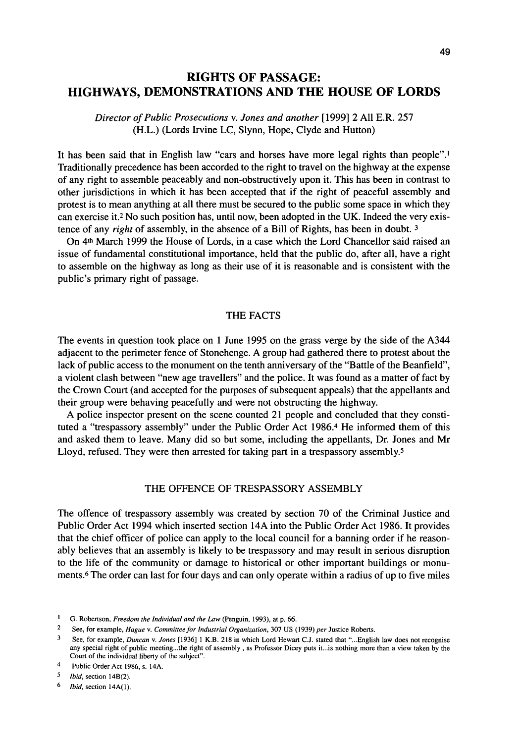# RIGHTS OF PASSAGE: HIGHWAYS, DEMONSTRATIONS AND THE HOUSE OF LORDS

# *Director of Public Prosecutions* v. *Jones and another* [1999] 2 All E.R. 257 (H.L.) (Lords Irvine LC, Slynn, Hope, Clyde and Hutton)

It has been said that in English law "cars and horses have more legal rights than people".<sup>1</sup> Traditionally precedence has been accorded to the right to travel on the highway at the expense of any right to assemble peaceably and non-obstructively upon it. This has been in contrast to other jurisdictions in which it has been accepted that if the right of peaceful assembly and protest is to mean anything at all there must be secured to the public some space in which they can exercise it.<sup>2</sup> No such position has, until now, been adopted in the UK. Indeed the very existence of any *right* of assembly, in the absence of a Bill of Rights, has been in doubt.<sup>3</sup>

On 4\* March 1999 the House of Lords, in a case which the Lord Chancellor said raised an issue of fundamental constitutional importance, held that the public do, after all, have a right to assemble on the highway as long as their use of it is reasonable and is consistent with the public's primary right of passage.

# THE FACTS

The events in question took place on 1 June 1995 on the grass verge by the side of the A344 adjacent to the perimeter fence of Stonehenge. A group had gathered there to protest about the lack of public access to the monument on the tenth anniversary of the "Battle of the Beanfield", a violent clash between "new age travellers" and the police. It was found as a matter of fact by the Crown Court (and accepted for the purposes of subsequent appeals) that the appellants and their group were behaving peacefully and were not obstructing the highway.

A police inspector present on the scene counted 21 people and concluded that they constituted a "trespassory assembly" under the Public Order Act 1986.<sup>4</sup> He informed them of this and asked them to leave. Many did so but some, including the appellants, Dr. Jones and Mr Lloyd, refused. They were then arrested for taking part in a trespassory assembly.<sup>5</sup>

### THE OFFENCE OF TRESPASSORY ASSEMBLY

The offence of trespassory assembly was created by section 70 of the Criminal Justice and Public Order Act 1994 which inserted section 14A into the Public Order Act 1986. It provides that the chief officer of police can apply to the local council for a banning order if he reasonably believes that an assembly is likely to be trespassory and may result in serious disruption to the life of the community or damage to historical or other important buildings or monuments.<sup>6</sup> The order can last for four days and can only operate within a radius of up to five miles

<sup>&</sup>lt;sup>1</sup> G. Robertson, *Freedom the Individual and the Law* (Penguin, 1993), at p. 66.

<sup>2</sup> See, for example, *Hague* v. *Committee for Industrial Organization,* 307 US (1939) *per* Justice Roberts.

<sup>3</sup> See, for example, *Duncan* v. *Jones* [1936] 1 K.B. 218 in which Lord Hewart CJ. stated that "...English law does not recognise any special right of public meeting...the right of assembly , as Professor Dicey puts it...is nothing more than a view taken by the Court of the individual liberty of the subject".

<sup>4</sup> Public Order Act 1986, s. 14A.

<sup>5</sup>  *Ibid,* section 14B(2).

<sup>6</sup>  *Ibid,* section 14A(1).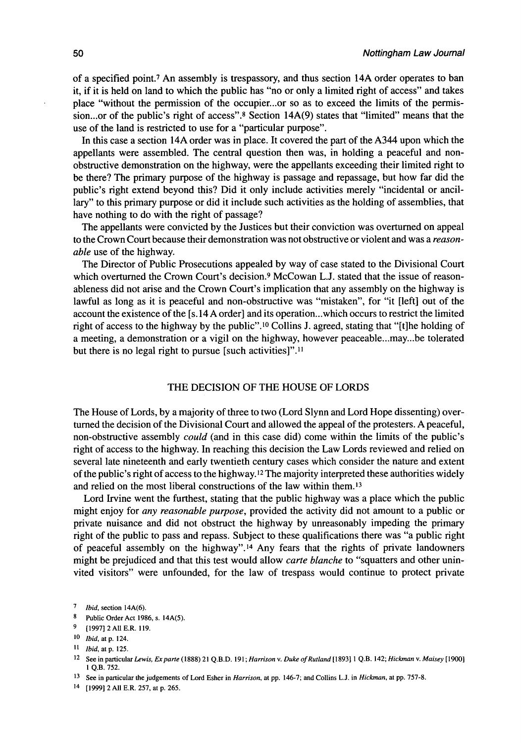of a specified point.<sup>7</sup> An assembly is trespassory, and thus section 14A order operates to ban it, if it is held on land to which the public has "no or only a limited right of access" and takes place "without the permission of the occupier...or so as to exceed the limits of the permission...or of the public's right of access".<sup>8</sup> Section 14A(9) states that "limited" means that the use of the land is restricted to use for a "particular purpose".

In this case a section 14A order was in place. It covered the part of the A344 upon which the appellants were assembled. The central question then was, in holding a peaceful and nonobstructive demonstration on the highway, were the appellants exceeding their limited right to be there? The primary purpose of the highway is passage and repassage, but how far did the public's right extend beyond this? Did it only include activities merely "incidental or ancillary" to this primary purpose or did it include such activities as the holding of assemblies, that have nothing to do with the right of passage?

The appellants were convicted by the Justices but their conviction was overturned on appeal to the Crown Court because their demonstration was not obstructive or violent and was a *reasonable* use of the highway.

The Director of Public Prosecutions appealed by way of case stated to the Divisional Court which overturned the Crown Court's decision.<sup>9</sup> McCowan L.J. stated that the issue of reasonableness did not arise and the Crown Court's implication that any assembly on the highway is lawful as long as it is peaceful and non-obstructive was "mistaken", for "it [left] out of the account the existence of the [s. 14 A order] and its operation...which occurs to restrict the limited right of access to the highway by the public".<sup>10</sup> Collins J. agreed, stating that "[t]he holding of a meeting, a demonstration or a vigil on the highway, however peaceable...may...be tolerated but there is no legal right to pursue [such activities]".<sup>11</sup>

## THE DECISION OF THE HOUSE OF LORDS

The House of Lords, by a majority of three to two (Lord Slynn and Lord Hope dissenting) overturned the decision of the Divisional Court and allowed the appeal of the protesters. A peaceful, non-obstructive assembly *could* (and in this case did) come within the limits of the public's right of access to the highway. In reaching this decision the Law Lords reviewed and relied on several late nineteenth and early twentieth century cases which consider the nature and extent of the public's right of access to the highway.<sup>12</sup> The majority interpreted these authorities widely and relied on the most liberal constructions of the law within them.<sup>13</sup>

Lord Irvine went the furthest, stating that the public highway was a place which the public might enjoy for *any reasonable purpose,* provided the activity did not amount to a public or private nuisance and did not obstruct the highway by unreasonably impeding the primary right of the public to pass and repass. Subject to these qualifications there was "a public right of peaceful assembly on the highway".<sup>14</sup> Any fears that the rights of private landowners might be prejudiced and that this test would allow *carte blanche* to "squatters and other uninvited visitors" were unfounded, for the law of trespass would continue to protect private

<sup>7</sup>  *Ibid,* section 14A(6).

<sup>8</sup> Public Order Act 1986, s. 14A(5).

<sup>9</sup> [1997] 2 All E.R. 119.

<sup>10</sup>  *Ibid, at p.* 124.

<sup>11</sup>  *Ibid,* at p. 125.

<sup>12</sup> See in particular *Lewis, Ex parte* (1888) 21 Q.B.D. 191; *Harrison* v. *Duke of Rutland* [1893] 1 Q.B. 142; *Hickman* v. *Maisey* [1900] 1 Q.B. 752.

<sup>13</sup> See in particular the judgements of Lord Esher in *Harrison,* at pp. 146-7; and Collins L.J. in *Hickman,* at pp. 757-8.

<sup>14</sup> [1999]2A11E.R. 257, at p. 265.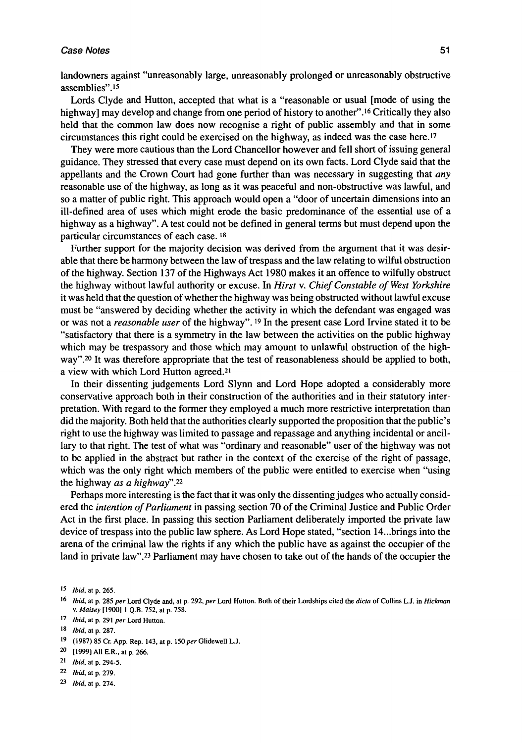#### **Case Notes** 51

landowners against "unreasonably large, unreasonably prolonged or unreasonably obstructive assemblies".<sup>15</sup>

Lords Clyde and Hutton, accepted that what is a "reasonable or usual [mode of using the highway] may develop and change from one period of history to another".<sup>16</sup> Critically they also held that the common law does now recognise a right of public assembly and that in some circumstances this right could be exercised on the highway, as indeed was the case here.<sup>17</sup>

They were more cautious than the Lord Chancellor however and fell short of issuing general guidance. They stressed that every case must depend on its own facts. Lord Clyde said that the appellants and the Crown Court had gone further than was necessary in suggesting that *any*  reasonable use of the highway, as long as it was peaceful and non-obstructive was lawful, and so a matter of public right. This approach would open a "door of uncertain dimensions into an ill-defined area of uses which might erode the basic predominance of the essential use of a highway as a highway". A test could not be defined in general terms but must depend upon the particular circumstances of each case.<sup>18</sup>

Further support for the majority decision was derived from the argument that it was desirable that there be harmony between the law of trespass and the law relating to wilful obstruction of the highway. Section 137 of the Highways Act 1980 makes it an offence to wilfully obstruct the highway without lawful authority or excuse. In *Hirst* v. *Chief Constable of West Yorkshire*  it was held that the question of whether the highway was being obstructed without lawful excuse must be "answered by deciding whether the activity in which the defendant was engaged was or was not a *reasonable user* of the highway".<sup>19</sup> In the present case Lord Irvine stated it to be "satisfactory that there is a symmetry in the law between the activities on the public highway which may be trespassory and those which may amount to unlawful obstruction of the highwave and the test of reasonableness should be applied to both, a view with which Lord Hutton agreed.<sup>21</sup>

In their dissenting judgements Lord Slynn and Lord Hope adopted a considerably more conservative approach both in their construction of the authorities and in their statutory interpretation. With regard to the former they employed a much more restrictive interpretation than did the majority. Both held that the authorities clearly supported the proposition that the public's right to use the highway was limited to passage and repassage and anything incidental or ancillary to that right. The test of what was "ordinary and reasonable" user of the highway was not to be applied in the abstract but rather in the context of the exercise of the right of passage, which was the only right which members of the public were entitled to exercise when "using the highway *as a highway".<sup>22</sup>*

Perhaps more interesting is the fact that it was only the dissenting judges who actually considered the *intention of Parliament* in passing section 70 of the Criminal Justice and Public Order Act in the first place. In passing this section Parliament deliberately imported the private law device of trespass into the public law sphere. As Lord Hope stated, "section 14...brings into the arena of the criminal law the rights if any which the public have as against the occupier of the land in private law".<sup>23</sup> Parliament may have chosen to take out of the hands of the occupier the

17  *Ibid,* at p. 291 *per* Lord Hutton.

- 19 (1987) 85 Cr. App. Rep. 143, at p. 150 *per* Glidewell L.J.
- <sup>20</sup> [1999] All E.R., at p. 266.
- 21  *Ibid,* at p. 294-5.
- 2 2  *Ibid,* at p. 279.
- 23 *Ibid*, at p. 274.

<sup>15</sup>  *Ibid,* at p. 265.

<sup>16</sup>  *Ibid,* at p. 285 *per* Lord Clyde and, at p. 292, *per* Lord Hutton. Both of their Lordships cited the *dicta* of Collins L.J. in *Hickman*  v. *Maisey* [1900] 1 Q.B. 752, at p. 758.

<sup>18</sup>  *Ibid,* at p. 287.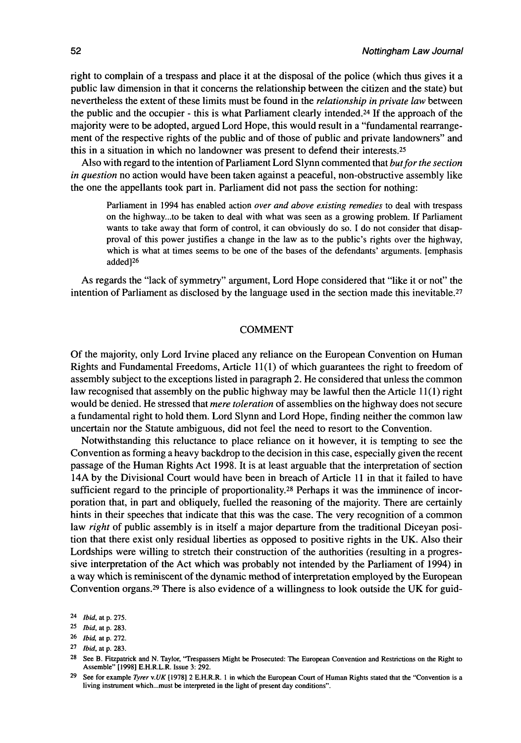right to complain of a trespass and place it at the disposal of the police (which thus gives it a public law dimension in that it concerns the relationship between the citizen and the state) but nevertheless the extent of these limits must be found in the *relationship in private law* between the public and the occupier - this is what Parliament clearly intended.<sup>24</sup> If the approach of the majority were to be adopted, argued Lord Hope, this would result in a "fundamental rearrangement of the respective rights of the public and of those of public and private landowners" and this in a situation in which no landowner was present to defend their interests.<sup>25</sup>

Also with regard to the intention of Parliament Lord Slynn commented that *but for the section in question* no action would have been taken against a peaceful, non-obstructive assembly like the one the appellants took part in. Parliament did not pass the section for nothing:

Parliament in 1994 has enabled action *over and above existing remedies* to deal with trespass on the highway...to be taken to deal with what was seen as a growing problem. If Parliament wants to take away that form of control, it can obviously do so. I do not consider that disapproval of this power justifies a change in the law as to the public's rights over the highway, which is what at times seems to be one of the bases of the defendants' arguments, [emphasis added]<sup>26</sup>

As regards the "lack of symmetry" argument, Lord Hope considered that "like it or not" the intention of Parliament as disclosed by the language used in the section made this inevitable.<sup>27</sup>

#### **COMMENT**

Of the majority, only Lord Irvine placed any reliance on the European Convention on Human Rights and Fundamental Freedoms, Article 11(1) of which guarantees the right to freedom of assembly subject to the exceptions listed in paragraph 2. He considered that unless the common law recognised that assembly on the public highway may be lawful then the Article 11(1) right would be denied. He stressed that *mere toleration* of assemblies on the highway does not secure a fundamental right to hold them. Lord Slynn and Lord Hope, finding neither the common law uncertain nor the Statute ambiguous, did not feel the need to resort to the Convention.

Notwithstanding this reluctance to place reliance on it however, it is tempting to see the Convention as forming a heavy backdrop to the decision in this case, especially given the recent passage of the Human Rights Act 1998. It is at least arguable that the interpretation of section 14A by the Divisional Court would have been in breach of Article 11 in that it failed to have sufficient regard to the principle of proportionality.<sup>28</sup> Perhaps it was the imminence of incorporation that, in part and obliquely, fuelled the reasoning of the majority. There are certainly hints in their speeches that indicate that this was the case. The very recognition of a common law *right* of public assembly is in itself a major departure from the traditional Diceyan position that there exist only residual liberties as opposed to positive rights in the UK. Also their Lordships were willing to stretch their construction of the authorities (resulting in a progressive interpretation of the Act which was probably not intended by the Parliament of 1994) in a way which is reminiscent of the dynamic method of interpretation employed by the European Convention organs.<sup>29</sup> There is also evidence of a willingness to look outside the UK for guid-

<sup>24</sup>  *Ibid,* at p. 275.

<sup>25</sup>  *Ibid,* at p. 283.

<sup>26</sup> *Ibid*, at p. 272.

<sup>27</sup>  *Ibid,* at p. 283.

<sup>28</sup>  See B. Fitzpatrick and N . Taylor, 'Trespassers Might be Prosecuted: The European Convention and Restrictions on the Right to Assemble" [1998] E.H.R.L.R. Issue 3: 292.

<sup>29</sup>  See for example *Tyrer \.UK* [1978] 2 E.H.R.R. 1 in which the European Court of Human Rights stated that the "Convention is a living instrument which...must be interpreted in the light of present day conditions".